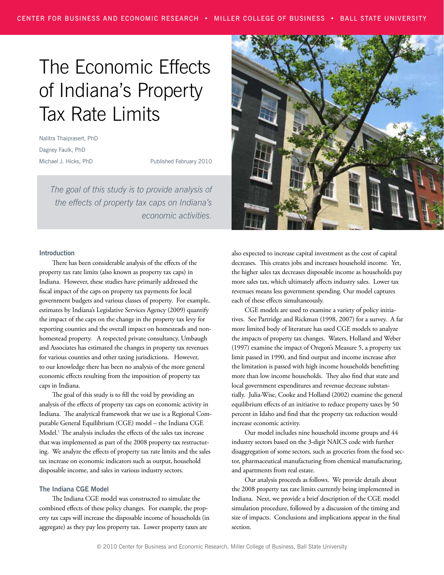# The Economic Effects of Indiana's Property Tax Rate Limits

Nalitra Thaiprasert, PhD Dagney Faulk, PhD Michael J. Hicks, PhD

Published February 2010

*The goal of this study is to provide analysis of the effects of property tax caps on Indiana's economic activities.*

#### **Introduction**

There has been considerable analysis of the effects of the property tax rate limits (also known as property tax caps) in Indiana. However, these studies have primarily addressed the fiscal impact of the caps on property tax payments for local government budgets and various classes of property. For example, estimates by Indiana's Legislative Services Agency (2009) quantify the impact of the caps on the change in the property tax levy for reporting counties and the overall impact on homesteads and nonhomestead property. A respected private consultancy, Umbaugh and Associates has estimated the changes in property tax revenues for various counties and other taxing jurisdictions. However, to our knowledge there has been no analysis of the more general economic effects resulting from the imposition of property tax caps in Indiana.

The goal of this study is to fill the void by providing an analysis of the effects of property tax caps on economic activity in Indiana. The analytical framework that we use is a Regional Computable General Equilibrium (CGE) model – the Indiana CGE Model.1 The analysis includes the effects of the sales tax increase that was implemented as part of the 2008 property tax restructuring. We analyze the effects of property tax rate limits and the sales tax increase on economic indicators such as output, household disposable income, and sales in various industry sectors.

#### **The Indiana CGE Model**

The Indiana CGE model was constructed to simulate the combined effects of these policy changes. For example, the property tax caps will increase the disposable income of households (in aggregate) as they pay less property tax. Lower property taxes are



also expected to increase capital investment as the cost of capital decreases. This creates jobs and increases household income. Yet, the higher sales tax decreases disposable income as households pay more sales tax, which ultimately affects industry sales. Lower tax revenues means less government spending. Our model captures each of these effects simultaneously.

CGE models are used to examine a variety of policy initiatives. See Partridge and Rickman (1998, 2007) for a survey. A far more limited body of literature has used CGE models to analyze the impacts of property tax changes. Waters, Holland and Weber (1997) examine the impact of Oregon's Measure 5, a property tax limit passed in 1990, and find output and income increase after the limitation is passed with high income households benefitting more than low income households. They also find that state and local government expenditures and revenue decrease substantially. Julia-Wise, Cooke and Holland (2002) examine the general equilibrium effects of an initiative to reduce property taxes by 50 percent in Idaho and find that the property tax reduction would increase economic activity.

Our model includes nine household income groups and 44 industry sectors based on the 3-digit NAICS code with further disaggregation of some sectors, such as groceries from the food sector, pharmaceutical manufacturing from chemical manufacturing, and apartments from real estate.

Our analysis proceeds as follows. We provide details about the 2008 property tax rate limits currently being implemented in Indiana. Next, we provide a brief description of the CGE model simulation procedure, followed by a discussion of the timing and size of impacts. Conclusions and implications appear in the final section.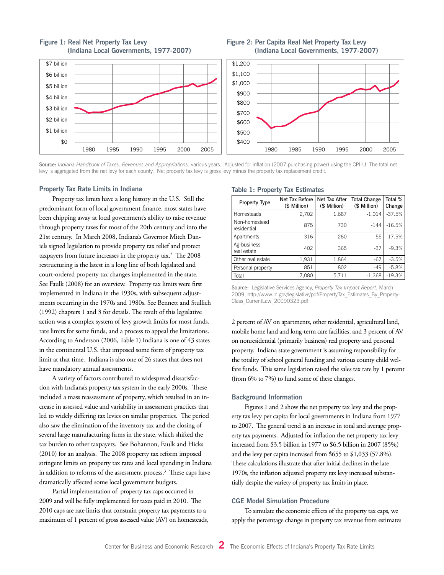

#### **Figure 1: Real Net Property Tax Levy (Indiana Local Governments, 1977-2007)**

#### **Figure 2: Per Capita Real Net Property Tax Levy (Indiana Local Governments, 1977-2007)**



Source: *Indiana Handbook of Taxes, Revenues and Appropriations*, various years. Adjusted for inflation (2007 purchasing power) using the CPI-U. The total net levy is aggregated from the net levy for each county. Net property tax levy is gross levy minus the property tax replacement credit.

#### **Property Tax Rate Limits in Indiana**

Property tax limits have a long history in the U.S. Still the predominant form of local government finance, most states have been chipping away at local government's ability to raise revenue through property taxes for most of the 20th century and into the 21st century. In March 2008, Indiana's Governor Mitch Daniels signed legislation to provide property tax relief and protect taxpayers from future increases in the property tax.<sup>2</sup> The 2008 restructuring is the latest in a long line of both legislated and court-ordered property tax changes implemented in the state. See Faulk (2008) for an overview. Property tax limits were first implemented in Indiana in the 1930s, with subsequent adjustments occurring in the 1970s and 1980s. See Bennett and Stullich (1992) chapters 1 and 3 for details. The result of this legislative action was a complex system of levy growth limits for most funds, rate limits for some funds, and a process to appeal the limitations. According to Anderson (2006, Table 1) Indiana is one of 43 states in the continental U.S. that imposed some form of property tax limit at that time. Indiana is also one of 26 states that does not have mandatory annual assessments.

A variety of factors contributed to widespread dissatisfaction with Indiana's property tax system in the early 2000s. These included a mass reassessment of property, which resulted in an increase in assessed value and variability in assessment practices that led to widely differing tax levies on similar properties. The period also saw the elimination of the inventory tax and the closing of several large manufacturing firms in the state, which shifted the tax burden to other taxpayers. See Bohannon, Faulk and Hicks (2010) for an analysis. The 2008 property tax reform imposed stringent limits on property tax rates and local spending in Indiana in addition to reforms of the assessment process.3 These caps have dramatically affected some local government budgets.

Partial implementation of property tax caps occurred in 2009 and will be fully implemented for taxes paid in 2010. The 2010 caps are rate limits that constrain property tax payments to a maximum of 1 percent of gross assessed value (AV) on homesteads,

#### **Table 1: Property Tax Estimates**

| Property Type                | Net Tax Before<br>(\$ Million) | Net Tax After<br>(\$ Million) | <b>Total Change</b><br>(\$ Million) | Total %<br>Change |  |  |
|------------------------------|--------------------------------|-------------------------------|-------------------------------------|-------------------|--|--|
| Homesteads                   | 2,702                          | 1,687                         | $-1.014$                            | $-37.5%$          |  |  |
| Non-homestead<br>residential | 875                            | 730                           | $-144$                              | $-16.5%$          |  |  |
| Apartments                   | 316                            | 260                           | $-55$                               | $-17.5%$          |  |  |
| Ag-business<br>real estate   | 402                            | 365                           | $-37$                               | $-9.3%$           |  |  |
| Other real estate            | 1,931                          | 1,864                         | $-67$                               | $-3.5%$           |  |  |
| Personal property            | 851                            | 802                           | $-49$                               | $-5.8%$           |  |  |
| Total                        | 7,080                          | 5,711                         | $-1,368$                            | $-19.3%$          |  |  |

Source: Legislative Services Agency, *Property Tax Impact Report*, March 2009, http://www.in.gov/legislative/pdf/PropertyTax\_Estimates\_By\_Property-Class\_CurrentLaw\_20090323.pdf

2 percent of AV on apartments, other residential, agricultural land, mobile home land and long-term care facilities, and 3 percent of AV on nonresidential (primarily business) real property and personal property. Indiana state government is assuming responsibility for the totality of school general funding and various county child welfare funds. This same legislation raised the sales tax rate by 1 percent (from 6% to 7%) to fund some of these changes.

#### **Background Information**

Figures 1 and 2 show the net property tax levy and the property tax levy per capita for local governments in Indiana from 1977 to 2007. The general trend is an increase in total and average property tax payments. Adjusted for inflation the net property tax levy increased from \$3.5 billion in 1977 to \$6.5 billion in 2007 (85%) and the levy per capita increased from \$655 to \$1,033 (57.8%). These calculations illustrate that after initial declines in the late 1970s, the inflation adjusted property tax levy increased substantially despite the variety of property tax limits in place.

#### **CGE Model Simulation Procedure**

To simulate the economic effects of the property tax caps, we apply the percentage change in property tax revenue from estimates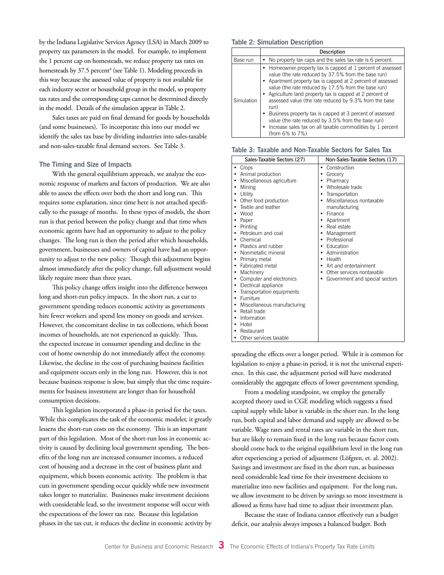by the Indiana Legislative Services Agency (LSA) in March 2009 to property tax parameters in the model. For example, to implement the 1 percent cap on homesteads, we reduce property tax rates on homesteads by 37.5 percent<sup>4</sup> (see Table 1). Modeling proceeds in this way because the assessed value of property is not available for each industry sector or household group in the model, so property tax rates and the corresponding caps cannot be determined directly in the model. Details of the simulation appear in Table 2.

Sales taxes are paid on final demand for goods by households (and some businesses). To incorporate this into our model we identify the sales tax base by dividing industries into sales-taxable and non-sales-taxable final demand sectors. See Table 3.

#### **The Timing and Size of Impacts**

With the general equilibrium approach, we analyze the economic response of markets and factors of production. We are also able to assess the effects over both the short and long run. This requires some explanation, since time here is not attached specifically to the passage of months. In these types of models, the short run is that period between the policy change and that time when economic agents have had an opportunity to adjust to the policy changes. The long run is then the period after which households, government, businesses and owners of capital have had an opportunity to adjust to the new policy. Though this adjustment begins almost immediately after the policy change, full adjustment would likely require more than three years.

This policy change offers insight into the difference between long and short-run policy impacts. In the short run, a cut to government spending reduces economic activity as governments hire fewer workers and spend less money on goods and services. However, the concomitant decline in tax collections, which boost incomes of households, are not experienced as quickly. Thus, the expected increase in consumer spending and decline in the cost of home ownership do not immediately affect the economy. Likewise, the decline in the cost of purchasing business facilities and equipment occurs only in the long run. However, this is not because business response is slow, but simply that the time requirements for business investment are longer than for household consumption decisions.

This legislation incorporated a phase-in period for the taxes. While this complicates the task of the economic modeler, it greatly lessens the short-run costs on the economy. This is an important part of this legislation. Most of the short-run loss in economic activity is caused by declining local government spending. The benefits of the long run are increased consumer incomes, a reduced cost of housing and a decrease in the cost of business plant and equipment, which boosts economic activity. The problem is that cuts in government spending occur quickly while new investment takes longer to materialize. Businesses make investment decisions with considerable lead, so the investment response will occur with the expectations of the lower tax rate. Because this legislation phases in the tax cut, it reduces the decline in economic activity by

#### **Table 2: Simulation Description**

|            | Description                                                                                                                                                                                                                                                                                                                                                                                                                                                                                                                                                            |
|------------|------------------------------------------------------------------------------------------------------------------------------------------------------------------------------------------------------------------------------------------------------------------------------------------------------------------------------------------------------------------------------------------------------------------------------------------------------------------------------------------------------------------------------------------------------------------------|
| Base run   | No property tax caps and the sales tax rate is 6 percent.                                                                                                                                                                                                                                                                                                                                                                                                                                                                                                              |
| Simulation | • Homeowner property tax is capped at 1 percent of assessed<br>value (the rate reduced by 37.5% from the base run)<br>Apartment property tax is capped at 2 percent of assessed<br>value (the rate reduced by 17.5% from the base run)<br>Agriculture land property tax is capped at 2 percent of<br>assessed value (the rate reduced by 9.3% from the base<br>run)<br>Business property tax is capped at 3 percent of assessed<br>value (the rate reduced by 3.5% from the base run)<br>Increase sales tax on all taxable commodities by 1 percent<br>(from 6% to 7%) |

| Table 3: Taxable and Non-Taxable Sectors for Sales Tax |  |
|--------------------------------------------------------|--|
|--------------------------------------------------------|--|

| Sales-Taxable Sectors (27)                                                                                                                                                                                                                                                                                                                                                                                                                                                                                                                                                                                                                                           | Non-Sales-Taxable Sectors (17)                                                                                                                                                                                                                                                                                                                                              |
|----------------------------------------------------------------------------------------------------------------------------------------------------------------------------------------------------------------------------------------------------------------------------------------------------------------------------------------------------------------------------------------------------------------------------------------------------------------------------------------------------------------------------------------------------------------------------------------------------------------------------------------------------------------------|-----------------------------------------------------------------------------------------------------------------------------------------------------------------------------------------------------------------------------------------------------------------------------------------------------------------------------------------------------------------------------|
| Crops<br>٠<br>Animal production<br>$\bullet$<br>Miscellaneous agriculture<br>٠<br>Mining<br>٠<br>Utility<br>$\bullet$<br>Other food production<br>٠<br>Textile and leather<br>٠<br>Wood<br>Paper<br>٠<br>Printing<br>٠<br>Petroleum and coal<br>Chemical<br>٠<br>Plastics and rubber<br>$\bullet$<br>Nonmetallic mineral<br>٠<br>Primary metal<br>٠<br><b>Fabricated metal</b><br>٠<br>Machinery<br>٠<br>Computer and electronics<br>٠<br>Electrical appliance<br>٠<br>Transportation equipments<br>٠<br><b>Furniture</b><br>$\bullet$<br>Miscellaneous manufacturing<br>٠<br>Retail trade<br>٠<br>Information<br>Hotel<br>Restaurant<br>٠<br>Other services taxable | Construction<br>٠<br>Grocery<br>٠<br>Pharmacy<br>Wholesale trade<br>Transportation<br>Miscellaneous nontaxable<br>manufacturing<br>Finance<br>Apartment<br>٠<br>Real estate<br>$\bullet$<br>Management<br>Professional<br>٠<br>Education<br>٠<br>Administration<br>Health<br>٠<br>Art and entertainment<br>٠<br>Other services nontaxable<br>Government and special sectors |

spreading the effects over a longer period. While it is common for legislation to enjoy a phase-in period, it is not the universal experience. In this case, the adjustment period will have moderated considerably the aggregate effects of lower government spending.

From a modeling standpoint, we employ the generally accepted theory used in CGE modeling which suggests a fixed capital supply while labor is variable in the short run. In the long run, both capital and labor demand and supply are allowed to be variable. Wage rates and rental rates are variable in the short run, but are likely to remain fixed in the long run because factor costs should come back to the original equilibrium level in the long run after experiencing a period of adjustment (Löfgren, et. al. 2002). Savings and investment are fixed in the short run, as businesses need considerable lead time for their investment decisions to materialize into new facilities and equipment. For the long run, we allow investment to be driven by savings so more investment is allowed as firms have had time to adjust their investment plan.

Because the state of Indiana cannot effectively run a budget deficit, our analysis always imposes a balanced budget. Both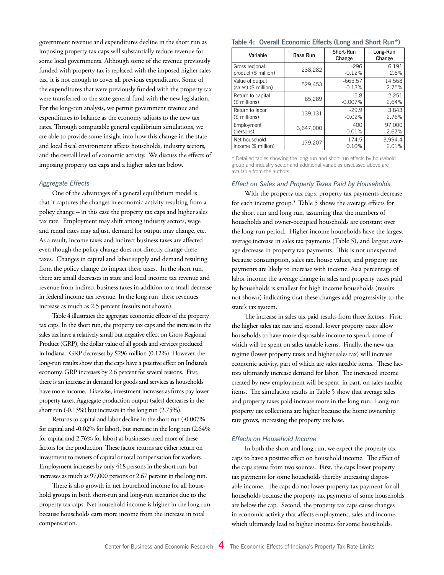government revenue and expenditures decline in the short run as imposing property tax caps will substantially reduce revenue for some local governments. Although some of the revenue previously funded with property tax is replaced with the imposed higher sales tax, it is not enough to cover all previous expenditures. Some of the expenditures that were previously funded with the property tax were transferred to the state general fund with the new legislation. For the long-run analysis, we permit government revenue and expenditures to balance as the economy adjusts to the new tax rates. Through computable general equilibrium simulations, we are able to provide some insight into how this change in the state and local fiscal environment affects households, industry sectors, and the overall level of economic activity. We discuss the effects of imposing property tax caps and a higher sales tax below.

#### *Aggregate Effects*

One of the advantages of a general equilibrium model is that it captures the changes in economic activity resulting from a policy change – in this case the property tax caps and higher sales tax rate. Employment may shift among industry sectors, wage and rental rates may adjust, demand for output may change, etc. As a result, income taxes and indirect business taxes are affected even though the policy change does not directly change these taxes. Changes in capital and labor supply and demand resulting from the policy change do impact these taxes. In the short run, there are small decreases in state and local income tax revenue and revenue from indirect business taxes in addition to a small decrease in federal income tax revenue. In the long run, these revenues increase as much as 2.5 percent (results not shown).

Table 4 illustrates the aggregate economic effects of the property tax caps. In the short run, the property tax caps and the increase in the sales tax have a relatively small but negative effect on Gross Regional Product (GRP), the dollar value of all goods and services produced in Indiana. GRP decreases by \$296 million (0.12%). However, the long-run results show that the caps have a positive effect on Indiana's economy. GRP increases by 2.6 percent for several reasons. First, there is an increase in demand for goods and services as households have more income. Likewise, investment increases as firms pay lower property taxes. Aggregate production output (sales) decreases in the short run (-0.13%) but increases in the long run (2.75%).

Returns to capital and labor decline in the short run (-0.007% for capital and -0.02% for labor), but increase in the long run (2.64% for capital and 2.76% for labor) as businesses need more of these factors for the production. These factor returns are either return on investment to owners of capital or total compensation for workers. Employment increases by only 418 persons in the short run, but increases as much as 97,000 persons or 2.67 percent in the long run.

There is also growth in net household income for all household groups in both short-run and long-run scenarios due to the property tax caps. Net household income is higher in the long run because households earn more income from the increase in total compensation.

#### **Table 4: Overall Economic Effects (Long and Short Run\*)**

| Variable             | Base Run  | Short-Run<br>Change | Long-Run<br>Change |
|----------------------|-----------|---------------------|--------------------|
| Gross regional       | 238,282   | $-296$              | 6,191              |
| product (\$ million) |           | $-0.12%$            | 2.6%               |
| Value of output      | 529,453   | $-665.57$           | 14.568             |
| (sales) (\$ million) |           | $-0.13%$            | 2.75%              |
| Return to capital    | 85,289    | $-5.8$              | 2.251              |
| (\$ millions)        |           | $-0.007%$           | 2.64%              |
| Return to labor      | 139,131   | $-29.9$             | 3,843              |
| (\$ millions)        |           | $-0.02%$            | 2.76%              |
| Employment           | 3,647,000 | 400                 | 97.000             |
| (persons)            |           | 0.01%               | 2.67%              |
| Net household        | 179,207   | 174.5               | 3,994.4            |
| income (\$ million)  |           | 0.10%               | 2.01%              |

\* Detailed tables showing the long-run and short-run effects by household group and industry sector and additional variables discussed above are available from the authors.

#### *Effect on Sales and Property Taxes Paid by Households*

With the property tax caps, property tax payments decrease for each income group.<sup>5</sup> Table 5 shows the average effects for the short run and long run, assuming that the numbers of households and owner-occupied households are constant over the long-run period. Higher income households have the largest average increase in sales tax payments (Table 5), and largest average decrease in property tax payments. This is not unexpected because consumption, sales tax, house values, and property tax payments are likely to increase with income. As a percentage of labor income the average change in sales and property taxes paid by households is smallest for high income households (results not shown) indicating that these changes add progressivity to the state's tax system.

The increase in sales tax paid results from three factors. First, the higher sales tax rate and second, lower property taxes allow households to have more disposable income to spend, some of which will be spent on sales taxable items. Finally, the new tax regime (lower property taxes and higher sales tax) will increase economic activity, part of which are sales taxable items. These factors ultimately increase demand for labor. The increased income created by new employment will be spent, in part, on sales taxable items. The simulation results in Table 5 show that average sales and property taxes paid increase more in the long run. Long-run property tax collections are higher because the home ownership rate grows, increasing the property tax base.

#### *Effects on Household Income*

In both the short and long run, we expect the property tax caps to have a positive effect on household income. The effect of the caps stems from two sources. First, the caps lower property tax payments for some households thereby increasing disposable income. The caps do not lower property tax payment for all households because the property tax payments of some households are below the cap. Second, the property tax caps cause changes in economic activity that affects employment, sales and income, which ultimately lead to higher incomes for some households.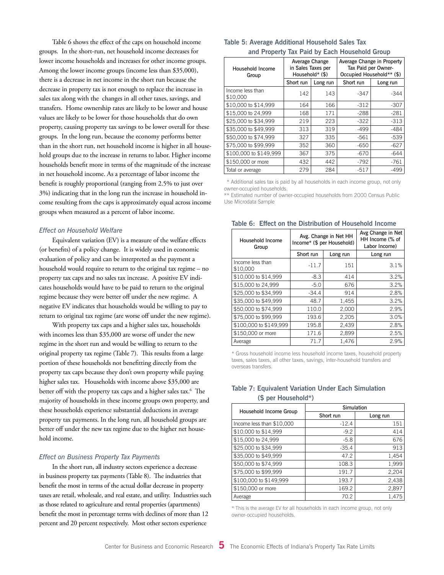Table 6 shows the effect of the caps on household income groups. In the short-run, net household income decreases for lower income households and increases for other income groups. Among the lower income groups (income less than \$35,000), there is a decrease in net income in the short run because the decrease in property tax is not enough to replace the increase in sales tax along with the changes in all other taxes, savings, and transfers. Home ownership rates are likely to be lower and house values are likely to be lower for those households that do own property, causing property tax savings to be lower overall for these groups. In the long run, because the economy performs better than in the short run, net household income is higher in all household groups due to the increase in returns to labor. Higher income households benefit more in terms of the magnitude of the increase in net household income. As a percentage of labor income the benefit is roughly proportional (ranging from 2.5% to just over 3%) indicating that in the long run the increase in household income resulting from the caps is approximately equal across income groups when measured as a percent of labor income.

#### *Effect on Household Welfare*

Equivalent variation (EV) is a measure of the welfare effects (or benefits) of a policy change. It is widely used in economic evaluation of policy and can be interpreted as the payment a household would require to return to the original tax regime – no property tax caps and no sales tax increase. A positive EV indicates households would have to be paid to return to the original regime because they were better off under the new regime. A negative EV indicates that households would be willing to pay to return to original tax regime (are worse off under the new regime).

With property tax caps and a higher sales tax, households with incomes less than \$35,000 are worse off under the new regime in the short run and would be willing to return to the original property tax regime (Table 7). This results from a large portion of these households not benefitting directly from the property tax caps because they don't own property while paying higher sales tax. Households with income above \$35,000 are better off with the property tax caps and a higher sales tax.<sup>6</sup> The majority of households in these income groups own property, and these households experience substantial deductions in average property tax payments. In the long run, all household groups are better off under the new tax regime due to the higher net household income.

#### *Effect on Business Property Tax Payments*

In the short run, all industry sectors experience a decrease in business property tax payments (Table 8). The industries that benefit the most in terms of the actual dollar decrease in property taxes are retail, wholesale, and real estate, and utility. Industries such as those related to agriculture and rental properties (apartments) benefit the most in percentage terms with declines of more than 12 percent and 20 percent respectively. Most other sectors experience

#### **Table 5: Average Additional Household Sales Tax and Property Tax Paid by Each Household Group**

| Household Income<br>Group    | Average Change<br>in Sales Taxes per<br>Household* (\$) |          | Average Change in Property<br>Tax Paid per Owner-<br>Occupied Household** (\$) |          |  |  |
|------------------------------|---------------------------------------------------------|----------|--------------------------------------------------------------------------------|----------|--|--|
|                              | Short run                                               | Long run | Short run                                                                      | Long run |  |  |
| Income less than<br>\$10,000 | 142                                                     | 143      | $-347$                                                                         | $-344$   |  |  |
| \$10,000 to \$14,999         | 164                                                     | 166      | $-312$                                                                         | $-307$   |  |  |
| \$15,000 to 24,999           | 168                                                     | 171      | $-288$                                                                         | $-281$   |  |  |
| \$25,000 to \$34,999         | 219                                                     | 223      | $-322$                                                                         | $-313$   |  |  |
| \$35,000 to \$49,999         | 313                                                     | 319      | $-499$                                                                         | $-484$   |  |  |
| \$50,000 to \$74,999         | 327                                                     | 335      | $-561$                                                                         | $-539$   |  |  |
| \$75,000 to \$99,999         | 352                                                     | 360      | $-650$                                                                         | $-627$   |  |  |
| \$100,000 to \$149,999       | 367                                                     | 375      | $-670$                                                                         | $-644$   |  |  |
| \$150,000 or more            | 432                                                     | 442      | $-792$                                                                         | $-761$   |  |  |
| Total or average             | 279                                                     | 284      | $-517$                                                                         | $-499$   |  |  |

\*\* Additional sales tax is paid by all households in each income group, not only owner-occupied households.

\*\* Estimated number of owner-occupied households from 2000 Census Public Use Microdata Sample

**Table 6: Effect on the Distribution of Household Income**

| Household Income<br>Group    | Income* (\$ per Household) | Avg. Change in Net HH | Avg Change in Net<br>HH Income (% of<br>Labor Income) |
|------------------------------|----------------------------|-----------------------|-------------------------------------------------------|
|                              | Short run                  | Long run              | Long run                                              |
| Income less than<br>\$10,000 | $-11.7$                    | 151                   | 3.1%                                                  |
| \$10,000 to \$14,999         | $-8.3$                     | 414                   | 3.2%                                                  |
| \$15,000 to 24,999           | $-5.0$                     | 676                   | 3.2%                                                  |
| \$25,000 to \$34,999         | $-34.4$                    | 914                   | 2.8%                                                  |
| \$35,000 to \$49.999         | 48.7                       | 1,455                 | 3.2%                                                  |
| \$50,000 to \$74.999         | 110.0                      | 2,000                 | 2.9%                                                  |
| \$75,000 to \$99.999         | 193.6                      | 2,205                 | 3.0%                                                  |
| \$100,000 to \$149,999       | 195.8                      | 2,439                 | 2.8%                                                  |
| \$150,000 or more            | 171.6                      | 2,899                 | 2.5%                                                  |
| Average                      | 71.7                       | 1.476                 | 2.9%                                                  |

\* Gross household income less household income taxes, household property taxes, sales taxes, all other taxes, savings, inter-household transfers and overseas transfers.

#### **Table 7: Equivalent Variation Under Each Simulation (\$ per Household\*)**

|                           | Simulation |          |  |  |  |
|---------------------------|------------|----------|--|--|--|
| Household Income Group    | Short run  | Long run |  |  |  |
| Income less than \$10,000 | $-12.4$    | 151      |  |  |  |
| \$10,000 to \$14,999      | $-9.2$     | 414      |  |  |  |
| \$15,000 to 24,999        | $-5.8$     | 676      |  |  |  |
| \$25,000 to \$34,999      | $-35.4$    | 913      |  |  |  |
| \$35,000 to \$49,999      | 47.2       | 1,454    |  |  |  |
| \$50,000 to \$74,999      | 108.3      | 1,999    |  |  |  |
| \$75,000 to \$99,999      | 191.7      | 2,204    |  |  |  |
| \$100,000 to \$149,999    | 193.7      | 2,438    |  |  |  |
| \$150,000 or more         | 169.2      | 2,897    |  |  |  |
| Average                   | 70.2       | 1.475    |  |  |  |

\* This is the average EV for all households in each income group, not only owner-occupied households.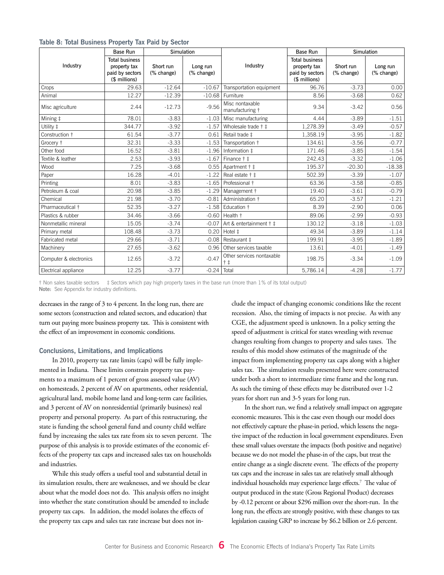|  |  | Table 8: Total Business Property Tax Paid by Sector |  |  |  |  |  |
|--|--|-----------------------------------------------------|--|--|--|--|--|
|--|--|-----------------------------------------------------|--|--|--|--|--|

|                        | <b>Base Run</b>                                                           | Simulation              |                        |                                      | Simulation<br><b>Base Run</b>                                             |                         |                        |
|------------------------|---------------------------------------------------------------------------|-------------------------|------------------------|--------------------------------------|---------------------------------------------------------------------------|-------------------------|------------------------|
| Industry               | <b>Total business</b><br>property tax<br>paid by sectors<br>(\$ millions) | Short run<br>(% change) | Long run<br>(% change) | Industry                             | <b>Total business</b><br>property tax<br>paid by sectors<br>(\$ millions) | Short run<br>(% change) | Long run<br>(% change) |
| Crops                  | 29.63                                                                     | $-12.64$                | $-10.67$               | Transportation equipment             | 96.76                                                                     | $-3.73$                 | 0.00                   |
| Animal                 | 12.27                                                                     | $-12.39$                | $-10.68$               | Furniture                            | 8.56                                                                      | $-3.68$                 | 0.62                   |
| Misc agriculture       | 2.44                                                                      | $-12.73$                | $-9.56$                | Misc nontaxable<br>manufacturing †   | 9.34                                                                      | $-3.42$                 | 0.56                   |
| Mining ‡               | 78.01                                                                     | $-3.83$                 | $-1.03$                | Misc manufacturing                   | 4.44                                                                      | $-3.89$                 | $-1.51$                |
| Utility ‡              | 344.77                                                                    | $-3.92$                 | $-1.57$                | Wholesale trade † ‡                  | 1,278.39                                                                  | $-3.49$                 | $-0.57$                |
| Construction †         | 61.54                                                                     | $-3.77$                 | 0.61                   | Retail trade ‡                       | 1,358.19                                                                  | $-3.95$                 | $-1.82$                |
| Grocery †              | 32.31                                                                     | $-3.33$                 | $-1.53$                | Transportation +                     | 134.61                                                                    | $-3.56$                 | $-0.77$                |
| Other food             | 16.52                                                                     | $-3.81$                 | $-1.96$                | Information ‡                        | 171.46                                                                    | $-3.85$                 | $-1.54$                |
| Textile & leather      | 2.53                                                                      | $-3.93$                 | $-1.67$                | Finance † ‡                          | 242.43                                                                    | $-3.32$                 | $-1.06$                |
| Wood                   | 7.25                                                                      | $-3.68$                 | 0.55                   | Apartment † ‡                        | 195.37                                                                    | $-20.30$                | $-18.38$               |
| Paper                  | 16.28                                                                     | $-4.01$                 | $-1.22$                | Real estate † ‡                      | 502.39                                                                    | $-3.39$                 | $-1.07$                |
| Printing               | 8.01                                                                      | $-3.83$                 | $-1.65$                | Professional +                       | 63.36                                                                     | $-3.58$                 | $-0.85$                |
| Petroleum & coal       | 20.98                                                                     | $-3.85$                 | $-1.29$                | Management +                         | 19.40                                                                     | $-3.61$                 | $-0.79$                |
| Chemical               | 21.98                                                                     | $-3.70$                 | $-0.81$                | Administration +                     | 65.20                                                                     | $-3.57$                 | $-1.21$                |
| Pharmaceutical +       | 52.35                                                                     | $-3.27$                 | $-1.58$                | Education +                          | 8.39                                                                      | $-2.90$                 | 0.06                   |
| Plastics & rubber      | 34.46                                                                     | $-3.66$                 | $-0.60$                | Health †                             | 89.06                                                                     | $-2.99$                 | $-0.93$                |
| Nonmetallic mineral    | 15.05                                                                     | $-3.74$                 | $-0.07$                | Art & entertainment † ‡              | 130.12                                                                    | $-3.18$                 | $-1.03$                |
| Primary metal          | 108.48                                                                    | $-3.73$                 | 0.20                   | Hotel ‡                              | 49.34                                                                     | $-3.89$                 | $-1.14$                |
| Fabricated metal       | 29.66                                                                     | $-3.71$                 | $-0.08$                | Restaurant ‡                         | 199.91                                                                    | $-3.95$                 | $-1.89$                |
| Machinery              | 27.65                                                                     | $-3.62$                 | 0.96                   | Other services taxable               | 13.61                                                                     | $-4.01$                 | $-1.49$                |
| Computer & electronics | 12.65                                                                     | $-3.72$                 | $-0.47$                | Other services nontaxable<br>$+$ $+$ | 198.75                                                                    | $-3.34$                 | $-1.09$                |
| Electrical appliance   | 12.25                                                                     | $-3.77$                 | $-0.24$                | Total                                | 5,786.14                                                                  | $-4.28$                 | $-1.77$                |

† Non sales taxable sectors ‡ Sectors which pay high property taxes in the base run (more than 1% of its total output) Note: See Appendix for industry definitions.

decreases in the range of 3 to 4 percent. In the long run, there are some sectors (construction and related sectors, and education) that turn out paying more business property tax. This is consistent with the effect of an improvement in economic conditions.

#### **Conclusions, Limitations, and Implications**

In 2010, property tax rate limits (caps) will be fully implemented in Indiana. These limits constrain property tax payments to a maximum of 1 percent of gross assessed value (AV) on homesteads, 2 percent of AV on apartments, other residential, agricultural land, mobile home land and long-term care facilities, and 3 percent of AV on nonresidential (primarily business) real property and personal property. As part of this restructuring, the state is funding the school general fund and county child welfare fund by increasing the sales tax rate from six to seven percent. The purpose of this analysis is to provide estimates of the economic effects of the property tax caps and increased sales tax on households and industries.

While this study offers a useful tool and substantial detail in its simulation results, there are weaknesses, and we should be clear about what the model does not do. This analysis offers no insight into whether the state constitution should be amended to include property tax caps. In addition, the model isolates the effects of the property tax caps and sales tax rate increase but does not include the impact of changing economic conditions like the recent recession. Also, the timing of impacts is not precise. As with any CGE, the adjustment speed is unknown. In a policy setting the speed of adjustment is critical for states wrestling with revenue changes resulting from changes to property and sales taxes. The results of this model show estimates of the magnitude of the impact from implementing property tax caps along with a higher sales tax. The simulation results presented here were constructed under both a short to intermediate time frame and the long run. As such the timing of these effects may be distributed over 1-2 years for short run and 3-5 years for long run.

In the short run, we find a relatively small impact on aggregate economic measures. This is the case even though our model does not effectively capture the phase-in period, which lessens the negative impact of the reduction in local government expenditures. Even these small values overstate the impacts (both positive and negative) because we do not model the phase-in of the caps, but treat the entire change as a single discrete event. The effects of the property tax caps and the increase in sales tax are relatively small although individual households may experience large effects.7 The value of output produced in the state (Gross Regional Product) decreases by -0.12 percent or about \$296 million over the short-run. In the long run, the effects are strongly positive, with these changes to tax legislation causing GRP to increase by \$6.2 billion or 2.6 percent.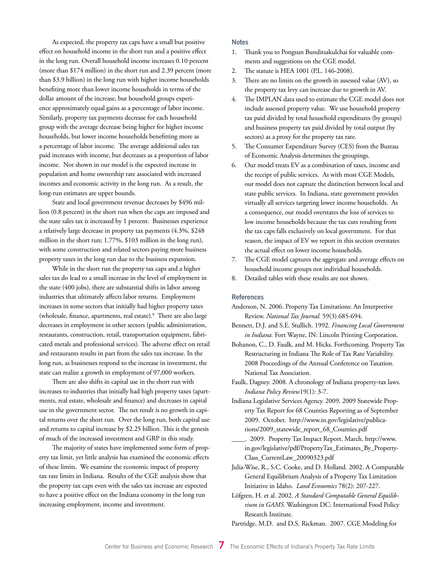As expected, the property tax caps have a small but positive effect on household income in the short run and a positive effect in the long run. Overall household income increases 0.10 percent (more than \$174 million) in the short run and 2.39 percent (more than \$3.9 billion) in the long run with higher income households benefiting more than lower income households in terms of the dollar amount of the increase, but household groups experience approximately equal gains as a percentage of labor income. Similarly, property tax payments decrease for each household group with the average decrease being higher for higher income households, but lower income households benefitting more as a percentage of labor income. The average additional sales tax paid increases with income, but decreases as a proportion of labor income. Not shown in our model is the expected increase in population and home ownership rate associated with increased incomes and economic activity in the long run. As a result, the long-run estimates are upper bounds.

State and local government revenue decreases by \$496 million (0.8 percent) in the short run when the caps are imposed and the state sales tax is increased by 1 percent. Businesses experience a relatively large decrease in property tax payments (4.3%, \$248 million in the short run; 1.77%, \$103 million in the long run), with some construction and related sectors paying more business property taxes in the long run due to the business expansion.

While in the short run the property tax caps and a higher sales tax do lead to a small increase in the level of employment in the state (400 jobs), there are substantial shifts in labor among industries that ultimately affects labor returns. Employment increases in some sectors that initially had higher property taxes (wholesale, finance, apartments, real estate).8 There are also large decreases in employment in other sectors (public administration, restaurants, construction, retail, transportation equipment, fabricated metals and professional services). The adverse effect on retail and restaurants results in part from the sales tax increase. In the long run, as businesses respond to the increase in investment, the state can realize a growth in employment of 97,000 workers.

There are also shifts in capital use in the short run with increases to industries that initially had high property taxes (apartments, real estate, wholesale and finance) and decreases in capital use in the government sector. The net result is no growth in capital returns over the short run. Over the long run, both capital use and returns to capital increase by \$2.25 billion. This is the genesis of much of the increased investment and GRP in this study.

The majority of states have implemented some form of property tax limit, yet little analysis has examined the economic effects of these limits. We examine the economic impact of property tax rate limits in Indiana. Results of the CGE analysis show that the property tax caps even with the sales tax increase are expected to have a positive effect on the Indiana economy in the long run increasing employment, income and investment.

#### **Notes**

- 1. Thank you to Pongsun Bunditsakulchai for valuable comments and suggestions on the CGE model.
- 2. The statute is HEA 1001 (P.L. 146-2008).
- 3. There are no limits on the growth in assessed value (AV), so the property tax levy can increase due to growth in AV.
- 4. The IMPLAN data used to estimate the CGE model does not include assessed property value. We use household property tax paid divided by total household expenditures (by groups) and business property tax paid divided by total output (by sectors) as a proxy for the property tax rate.
- 5. The Consumer Expenditure Survey (CES) from the Bureau of Economic Analysis determines the groupings.
- 6. Our model treats EV as a combination of taxes, income and the receipt of public services. As with most CGE Models, our model does not capture the distinction between local and state public services. In Indiana, state government provides virtually all services targeting lower income households. As a consequence, our model overstates the loss of services to low income households because the tax cuts resulting from the tax caps falls exclusively on local government. For that reason, the impact of EV we report in this section overstates the actual effect on lower income households.
- 7. The CGE model captures the aggregate and average effects on household income groups not individual households.
- 8. Detailed tables with these results are not shown.

#### **References**

- Anderson, N. 2006. Property Tax Limitations: An Interpretive Review. *National Tax Journal.* 59(3) 685-694.
- Bennett, D.J. and S.E. Stullich. 1992. *Financing Local Government in Indiana.* Fort Wayne, IN: Lincoln Printing Corporation.
- Bohanon, C., D. Faulk, and M. Hicks. Forthcoming. Property Tax Restructuring in Indiana The Role of Tax Rate Variability. 2008 Proceedings of the Annual Conference on Taxation. National Tax Association.
- Faulk, Dagney. 2008. A chronology of Indiana property-tax laws. *Indiana Policy Review*19(1): 3-7.
- Indiana Legislative Services Agency. 2009. 2009 Statewide Property Tax Report for 68 Counties Reporting as of September 2009. October. http://www.in.gov/legislative/publications/2009\_statewide\_report\_68\_Counties.pdf
	- \_\_\_\_. 2009. Property Tax Impact Report. March. http://www. in.gov/legislative/pdf/PropertyTax\_Estimates\_By\_Property-Class\_CurrentLaw\_20090323.pdf
- Julia-Wise, R., S.C. Cooke, and D. Holland. 2002. A Computable General Equilibrium Analysis of a Property Tax Limitation Initiative in Idaho. *Land Economics* 78(2): 207-227.
- Löfgren, H. et al. 2002. *A Standard Computable General Equilibrium in GAMS.* Washington DC: International Food Policy Research Institute.

Partridge, M.D. and D.S. Rickman. 2007. CGE Modeling for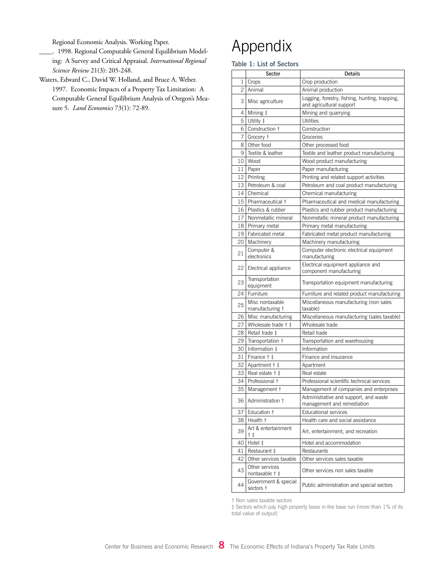Regional Economic Analysis. Working Paper.

- \_\_\_\_. 1998. Regional Computable General Equilibrium Modeling: A Survey and Critical Appraisal. *International Regional Science Review* 21(3): 205-248.
- Waters, Edward C., David W. Holland, and Bruce A. Weber. 1997. Economic Impacts of a Property Tax Limitation: A Computable General Equilibrium Analysis of Oregon's Measure 5. *Land Economics* 73(1): 72-89.

## Appendix

**Table 1: List of Sectors**

|    | Sector                             | Details                                                                    |
|----|------------------------------------|----------------------------------------------------------------------------|
| 1  | Crops                              | Crop production                                                            |
| 2  | Animal                             | Animal production                                                          |
| 3  | Misc agriculture                   | Logging, forestry, fishing, hunting, trapping,<br>and agricultural support |
| 4  | Mining ‡                           | Mining and quarrying                                                       |
| 5  | Utility ‡                          | Utilities                                                                  |
| 6  | Construction †                     | Construction                                                               |
| 7  | Grocery †                          | Groceries                                                                  |
| 8  | Other food                         | Other processed food                                                       |
| 9  | Textile & leather                  | Textile and leather product manufacturing                                  |
| 10 | Wood                               | Wood product manufacturing                                                 |
| 11 | Paper                              | Paper manufacturing                                                        |
| 12 | Printing                           | Printing and related support activities                                    |
| 13 | Petroleum & coal                   | Petroleum and coal product manufacturing                                   |
| 14 | Chemical                           | Chemical manufacturing                                                     |
| 15 | Pharmaceutical †                   | Pharmaceutical and medical manufacturing                                   |
| 16 | Plastics & rubber                  | Plastics and rubber product manufacturing                                  |
| 17 | Nonmetallic mineral                | Nonmetallic mineral product manufacturing                                  |
| 18 | Primary metal                      | Primary metal manufacturing                                                |
| 19 | Fabricated metal                   | Fabricated metal product manufacturing                                     |
| 20 | Machinery                          | Machinery manufacturing                                                    |
| 21 | Computer &<br>electronics          | Computer electronic electrical equipment<br>manufacturing                  |
| 22 | Electrical appliance               | Electrical equipment appliance and<br>component manufacturing              |
| 23 | Transportation<br>equipment        | Transportation equipment manufacturing                                     |
| 24 | Furniture                          | Furniture and related product manufacturing                                |
| 25 | Misc nontaxable<br>manufacturing † | Miscellaneous manufacturing (non sales<br>taxable)                         |
| 26 | Misc manufacturing                 | Miscellaneous manufacturing (sales taxable)                                |
| 27 | Wholesale trade † ‡                | Wholesale trade                                                            |
| 28 | Retail trade ‡                     | Retail trade                                                               |
| 29 | Transportation †                   | Transportation and warehousing                                             |
| 30 | Information ‡                      | Information                                                                |
| 31 | Finance † ‡                        | Finance and insurance                                                      |
| 32 | Apartment † ‡                      | Apartment                                                                  |
| 33 | Real estate † ‡                    | Real estate                                                                |
| 34 | Professional +                     | Professional scientific technical services                                 |
| 35 | Management †                       | Management of companies and enterprises                                    |
| 36 | Administration †                   | Administrative and support, and waste<br>management and remediation        |
| 37 | Education †                        | <b>Educational services</b>                                                |
| 38 | Health t                           | Health care and social assistance                                          |
| 39 | Art & entertainment<br>† ‡         | Art, entertainment, and recreation                                         |
| 40 | Hotel ‡                            | Hotel and accommodation                                                    |
| 41 | Restaurant ‡                       | Restaurants                                                                |
| 42 | Other services taxable             | Other services sales taxable                                               |
| 43 | Other services<br>nontaxable † ‡   | Other services non sales taxable                                           |
| 44 | Government & special<br>sectors †  | Public administration and special sectors                                  |

† Non sales taxable sectors

‡ Sectors which pay high property taxes in the base run (more than 1% of its total value of output)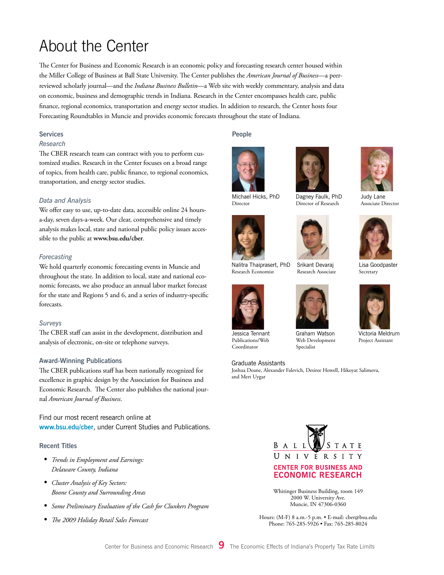### About the Center

The Center for Business and Economic Research is an economic policy and forecasting research center housed within the Miller College of Business at Ball State University. The Center publishes the *American Journal of Business*—a peerreviewed scholarly journal—and the *Indiana Business Bulletin*—a Web site with weekly commentary, analysis and data on economic, business and demographic trends in Indiana. Research in the Center encompasses health care, public finance, regional economics, transportation and energy sector studies. In addition to research, the Center hosts four Forecasting Roundtables in Muncie and provides economic forecasts throughout the state of Indiana.

#### **Services**

#### *Research*

The CBER research team can contract with you to perform customized studies. Research in the Center focuses on a broad range of topics, from health care, public finance, to regional economics, transportation, and energy sector studies.

#### *Data and Analysis*

We offer easy to use, up-to-date data, accessible online 24 hoursa-day, seven days-a-week. Our clear, comprehensive and timely analysis makes local, state and national public policy issues accessible to the public at **www.bsu.edu/cber**.

#### *Forecasting*

We hold quarterly economic forecasting events in Muncie and throughout the state. In addition to local, state and national economic forecasts, we also produce an annual labor market forecast for the state and Regions 5 and 6, and a series of industry-specific forecasts.

#### *Surveys*

The CBER staff can assist in the development, distribution and analysis of electronic, on-site or telephone surveys.

#### **Award-Winning Publications**

The CBER publications staff has been nationally recognized for excellence in graphic design by the Association for Business and Economic Research. The Center also publishes the national journal *American Journal of Business*.

Find our most recent research online at **www.bsu.edu/cber**, under Current Studies and Publications.

#### **Recent Titles**

- *• Trends in Employment and Earnings: Delaware County, Indiana*
- *• Cluster Analysis of Key Sectors: Boone County and Surrounding Areas*
- *• Some Preliminary Evaluation of the Cash for Clunkers Program*
- *• The 2009 Holiday Retail Sales Forecast*

#### **People**

Director





Dagney Faulk, PhD Director of Research



Nalitra Thaiprasert, PhD Srikant Devaraj Research Associate



Graham Watson Web Development Specialist

#### Graduate Assistants

Jessica Tennant Publications/Web Coordinator

Research Economist

Joshua Doane, Alexander Falevich, Desiree Howell, Hikoyat Salimova, and Mert Uygar



Judy Lane Associate Director



Lisa Goodpaster Secretary



Victoria Meldrum Project Assistant



Whitinger Business Building, room 149 2000 W. University Ave. Muncie, IN 47306-0360

Hours: (M-F) 8 a.m.-5 p.m. • E-mail: cber@bsu.edu Phone: 765-285-5926 • Fax: 765-285-8024





Center for Business and Economic Research **9** The Economic Effects of Indiana's Property Tax Rate Limits